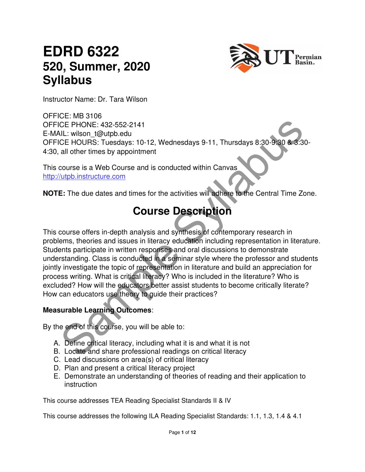# **EDRD 6322 520, Summer, 2020 Syllabus**



Instructor Name: Dr. Tara Wilson

OFFICE: MB 3106 OFFICE PHONE: 432-552-2141 E-MAIL: wilson\_t@utpb.edu OFFICE HOURS: Tuesdays: 10-12, Wednesdays 9-11, Thursdays 8:30-9:30 & 3:30- 4:30, all other times by appointment

This course is a Web Course and is conducted within Canvas http://utpb.instructure.com

**NOTE:** The due dates and times for the activities will adhere to the Central Time Zone.

### **Course Description**

CE PHONE: 432-552-2141<br>
CE HONE: 432-552-2141<br>
CE HOURS: Tuesdays: 10-12, Wednesdays 9-11, Thursdays 8:30-9:30<br>
CE HOURS: Tuesdays: 10-12, Wednesdays 9-11, Thursdays 8:30-9:30<br>
all other times by appointment<br>
course is a W This course offers in-depth analysis and synthesis of contemporary research in problems, theories and issues in literacy education including representation in literature. Students participate in written responses and oral discussions to demonstrate understanding. Class is conducted in a seminar style where the professor and students jointly investigate the topic of representation in literature and build an appreciation for process writing. What is critical literacy? Who is included in the literature? Who is excluded? How will the educators better assist students to become critically literate? How can educators use theory to guide their practices?

#### **Measurable Learning Outcomes**:

By the end of this course, you will be able to:

- A. Define critical literacy, including what it is and what it is not
- B. Locate and share professional readings on critical literacy
- C. Lead discussions on area(s) of critical literacy
- D. Plan and present a critical literacy project
- E. Demonstrate an understanding of theories of reading and their application to instruction

This course addresses TEA Reading Specialist Standards II & IV

This course addresses the following ILA Reading Specialist Standards: 1.1, 1.3, 1.4 & 4.1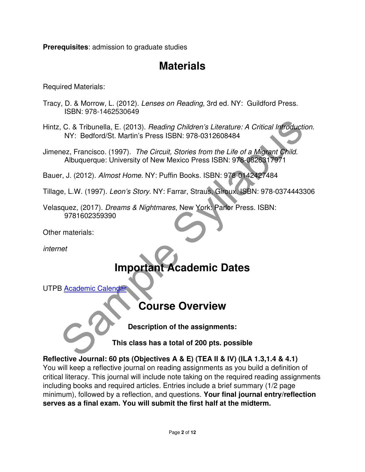**Prerequisites**: admission to graduate studies

### **Materials**

Required Materials:

- Tracy, D. & Morrow, L. (2012). Lenses on Reading, 3rd ed. NY: Guildford Press. ISBN: 978-1462530649
- C. & Tribunella, E. (2013). *Reading Children's Literature: A Critical Infroduction*<br>
NY: Bedford/St. Martin's Press ISBN: 978-0312608484<br>
mez, Francisco. (1997). *The Circuit, Stories from the Life of a Migrant Child.*<br>
A Hintz, C. & Tribunella, E. (2013). Reading Children's Literature: A Critical Introduction. NY: Bedford/St. Martin's Press ISBN: 978-0312608484
- Jimenez, Francisco. (1997). The Circuit, Stories from the Life of a Migrant Child. Albuquerque: University of New Mexico Press ISBN: 978-0826317971

Bauer, J. (2012). Almost Home. NY: Puffin Books. ISBN: 978-0142427484

- Tillage, L.W. (1997). Leon's Story. NY: Farrar, Straus, Giroux. ISBN: 978-0374443306
- Velasquez, (2017). Dreams & Nightmares, New York: Parlor Press. ISBN: 9781602359390

Other materials:

internet

# **Important Academic Dates**

UTPB Academic Calendar

### **Course Overview**

**Description of the assignments:** 

**This class has a total of 200 pts. possible** 

**Reflective Journal: 60 pts (Objectives A & E) (TEA II & IV) (ILA 1.3,1.4 & 4.1)** 

You will keep a reflective journal on reading assignments as you build a definition of critical literacy. This journal will include note taking on the required reading assignments including books and required articles. Entries include a brief summary (1/2 page minimum), followed by a reflection, and questions. **Your final journal entry/reflection serves as a final exam. You will submit the first half at the midterm.**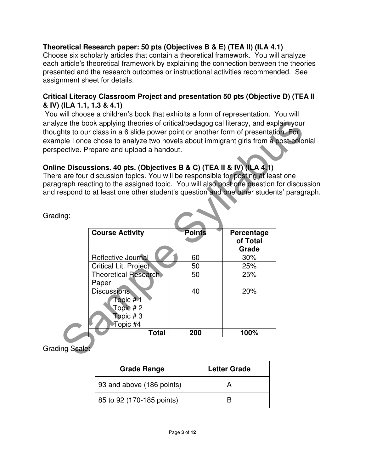#### **Theoretical Research paper: 50 pts (Objectives B & E) (TEA II) (ILA 4.1)**

Choose six scholarly articles that contain a theoretical framework. You will analyze each article's theoretical framework by explaining the connection between the theories presented and the research outcomes or instructional activities recommended. See assignment sheet for details.

#### **Critical Literacy Classroom Project and presentation 50 pts (Objective D) (TEA II & IV) (ILA 1.1, 1.3 & 4.1)**

You will choose a children's book that exhibits a form of representation. You will analyze the book applying theories of critical/pedagogical literacy, and explain your thoughts to our class in a 6 slide power point or another form of presentation. For example I once chose to analyze two novels about immigrant girls from a post-colonial perspective. Prepare and upload a handout.

#### **Online Discussions. 40 pts. (Objectives B & C) (TEA II & IV) (ILA 4.1)**

There are four discussion topics. You will be responsible for posting at least one paragraph reacting to the assigned topic. You will also post one question for discussion and respond to at least one other student's question and one other students' paragraph.

|            | ze the book applying theories of critical/pedagogical literacy, and explain your<br>this to our class in a 6 slide power point or another form of presentation. For<br>iple I once chose to analyze two novels about immigrant girls from a post-colonia<br>bective. Prepare and upload a handout.                            |               |                   |  |
|------------|-------------------------------------------------------------------------------------------------------------------------------------------------------------------------------------------------------------------------------------------------------------------------------------------------------------------------------|---------------|-------------------|--|
| ing:       | ne Discussions. 40 pts. (Objectives B & C) (TEA II & IV) (ILA 4.1)<br>e are four discussion topics. You will be responsible for posting at least one<br>graph reacting to the assigned topic. You will also post one question for discussi<br>espond to at least one other student's question and one other students' paragra |               |                   |  |
|            | <b>Course Activity</b>                                                                                                                                                                                                                                                                                                        | <b>Points</b> | Percentage        |  |
|            |                                                                                                                                                                                                                                                                                                                               |               | of Total<br>Grade |  |
|            | Reflective Journal                                                                                                                                                                                                                                                                                                            | 60            | 30%               |  |
|            | <b>Critical Lit. Project</b>                                                                                                                                                                                                                                                                                                  | 50            | 25%               |  |
|            | <b>Theoretical Research</b><br>Paper                                                                                                                                                                                                                                                                                          | 50            | 25%               |  |
|            | <b>Discussions</b><br>Topic # 1<br>Topic # 2<br>Topic#3<br>Topic #4                                                                                                                                                                                                                                                           | 40            | 20%               |  |
|            | <b>Total</b>                                                                                                                                                                                                                                                                                                                  | 200           | 100%              |  |
| ing Scale: |                                                                                                                                                                                                                                                                                                                               |               |                   |  |

Grading:

Grading Scale:

| <b>Grade Range</b>        | <b>Letter Grade</b> |  |
|---------------------------|---------------------|--|
| 93 and above (186 points) |                     |  |
| 85 to 92 (170-185 points) |                     |  |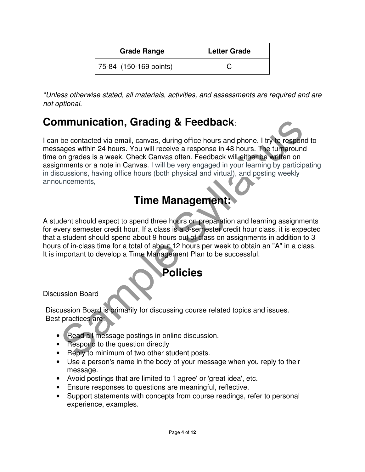| <b>Grade Range</b>     | <b>Letter Grade</b> |
|------------------------|---------------------|
| 75-84 (150-169 points) |                     |

\*Unless otherwise stated, all materials, activities, and assessments are required and are not optional.

### **Communication, Grading & Feedback**:

minunication, Grading & Feedback:<br>
be contacted via email, canvas, during office hours and phone. I try to respond<br>
ages within 24 hours. You will receive a response in 48 hours. The tumpround<br>
ages with 24 hours. You will I can be contacted via email, canvas, during office hours and phone. I try to respond to messages within 24 hours. You will receive a response in 48 hours. The turnaround time on grades is a week. Check Canvas often. Feedback will either be written on assignments or a note in Canvas. I will be very engaged in your learning by participating in discussions, having office hours (both physical and virtual), and posting weekly announcements,

### **Time Management:**

A student should expect to spend three hours on preparation and learning assignments for every semester credit hour. If a class is a 3-semester credit hour class, it is expected that a student should spend about 9 hours out of class on assignments in addition to 3 hours of in-class time for a total of about 12 hours per week to obtain an "A" in a class. It is important to develop a Time Management Plan to be successful.

### **Policies**

Discussion Board

Discussion Board is primarily for discussing course related topics and issues. Best practices are:

- Read all message postings in online discussion.
- Respond to the question directly
- Reply to minimum of two other student posts.
- Use a person's name in the body of your message when you reply to their message.
- Avoid postings that are limited to 'I agree' or 'great idea', etc.
- Ensure responses to questions are meaningful, reflective.
- Support statements with concepts from course readings, refer to personal experience, examples.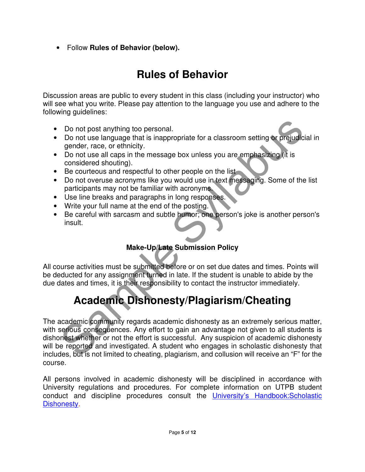• Follow **Rules of Behavior (below).**

# **Rules of Behavior**

Discussion areas are public to every student in this class (including your instructor) who will see what you write. Please pay attention to the language you use and adhere to the following guidelines:

- Do not post anything too personal.
- Do not use language that is inappropriate for a classroom setting or prejudicial in gender, race, or ethnicity.
- Do not use all caps in the message box unless you are emphasizing (it is considered shouting).
- Be courteous and respectful to other people on the list
- Do not overuse acronyms like you would use in text messaging. Some of the list participants may not be familiar with acronyms.
- Use line breaks and paragraphs in long responses.
- Write your full name at the end of the posting.
- Be careful with sarcasm and subtle humor; one person's joke is another person's insult.

#### **Make-Up/Late Submission Policy**

All course activities must be submitted before or on set due dates and times. Points will be deducted for any assignment turned in late. If the student is unable to abide by the due dates and times, it is their responsibility to contact the instructor immediately.

# **Academic Dishonesty/Plagiarism/Cheating**

Do not post anything too personal.<br>
Do not use language that is inappropriate for a classroom setting or prejudicial<br>
gender, race, or ethnicity.<br>
Do not use all caps in the message box unless you are emphasizing (it is<br>
c The academic community regards academic dishonesty as an extremely serious matter, with serious consequences. Any effort to gain an advantage not given to all students is dishonest whether or not the effort is successful. Any suspicion of academic dishonesty will be reported and investigated. A student who engages in scholastic dishonesty that includes, but is not limited to cheating, plagiarism, and collusion will receive an "F" for the course.

All persons involved in academic dishonesty will be disciplined in accordance with University regulations and procedures. For complete information on UTPB student conduct and discipline procedures consult the *University's Handbook:Scholastic* Dishonesty.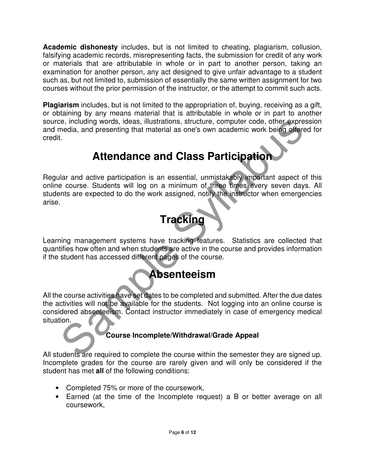**Academic dishonesty** includes, but is not limited to cheating, plagiarism, collusion, falsifying academic records, misrepresenting facts, the submission for credit of any work or materials that are attributable in whole or in part to another person, taking an examination for another person, any act designed to give unfair advantage to a student such as, but not limited to, submission of essentially the same written assignment for two courses without the prior permission of the instructor, or the attempt to commit such acts.

**Plagiarism** includes, but is not limited to the appropriation of, buying, receiving as a gift, or obtaining by any means material that is attributable in whole or in part to another source, including words, ideas, illustrations, structure, computer code, other expression and media, and presenting that material as one's own academic work being offered for credit.

# **Attendance and Class Participation**

See, including words, ideas, illustrations, structure, computer code, other expresses the media, and presenting that material as one's own academic work being offered<br>
Latar and active participation is an essential, unmist Regular and active participation is an essential, unmistakably important aspect of this online course. Students will log on a minimum of three times every seven days. All students are expected to do the work assigned, notify the instructor when emergencies arise.

# **Tracking**

Learning management systems have tracking features. Statistics are collected that quantifies how often and when students are active in the course and provides information if the student has accessed different pages of the course.

### **Absenteeism**

All the course activities have set dates to be completed and submitted. After the due dates the activities will not be available for the students. Not logging into an online course is considered absenteeism. Contact instructor immediately in case of emergency medical situation.

#### **Course Incomplete/Withdrawal/Grade Appeal**

All students are required to complete the course within the semester they are signed up. Incomplete grades for the course are rarely given and will only be considered if the student has met **all** of the following conditions:

- Completed 75% or more of the coursework,
- Earned (at the time of the Incomplete request) a B or better average on all coursework,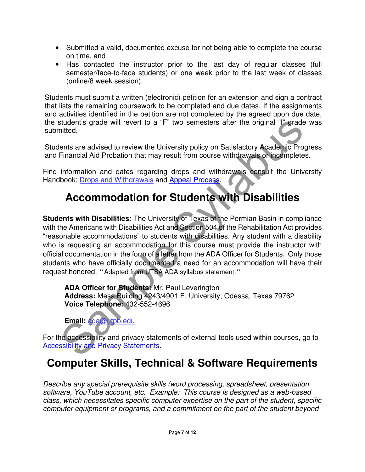- Submitted a valid, documented excuse for not being able to complete the course on time, and
- Has contacted the instructor prior to the last day of regular classes (full semester/face-to-face students) or one week prior to the last week of classes (online/8 week session).

Students must submit a written (electronic) petition for an extension and sign a contract that lists the remaining coursework to be completed and due dates. If the assignments and activities identified in the petition are not completed by the agreed upon due date, the student's grade will revert to a "F" two semesters after the original "I" grade was submitted.

Students are advised to review the University policy on Satisfactory Academic Progress and Financial Aid Probation that may result from course withdrawals or incompletes.

Find information and dates regarding drops and withdrawals consult the University Handbook: Drops and Withdrawals and Appeal Process.

# **Accommodation for Students with Disabilities**

student's grade will revert to a "F" two semesters after the original """ grade virted.<br>
Inited.<br>
Inited.<br>
Sensitive are advised to review the University policy on Satisfactory Academic Progrims.<br>
Financial Aid Probation t **Students with Disabilities:** The University of Texas of the Permian Basin in compliance with the Americans with Disabilities Act and Section 504 of the Rehabilitation Act provides "reasonable accommodations" to students with disabilities. Any student with a disability who is requesting an accommodation for this course must provide the instructor with official documentation in the form of a letter from the ADA Officer for Students. Only those students who have officially documented a need for an accommodation will have their request honored. \*\*Adapted from UTSA ADA syllabus statement.\*\*

**ADA Officer for Students:** Mr. Paul Leverington **Address:** Mesa Building 4243/4901 E. University, Odessa, Texas 79762 **Voice Telephone:** 432-552-4696

**Email:** ada@utpb.edu

For the accessibility and privacy statements of external tools used within courses, go to Accessibility and Privacy Statements.

### **Computer Skills, Technical & Software Requirements**

Describe any special prerequisite skills (word processing, spreadsheet, presentation software, YouTube account, etc. Example: This course is designed as a web-based class, which necessitates specific computer expertise on the part of the student, specific computer equipment or programs, and a commitment on the part of the student beyond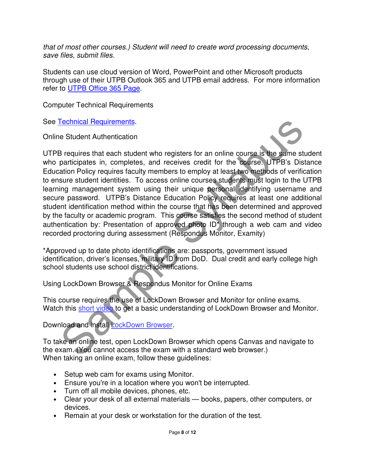that of most other courses.) Student will need to create word processing documents, save files, submit files.

Students can use cloud version of Word, PowerPoint and other Microsoft products through use of their UTPB Outlook 365 and UTPB email address. For more information refer to UTPB Office 365 Page.

Computer Technical Requirements

See Technical Requirements.

Online Student Authentication



Technical Requirements.<br>
Se Student Authentication<br>
Se requires that each student who registers for an online course is the same student<br>
diaton Policy requires faculty members to emply at least woo methods of verificat<br>
s UTPB requires that each student who registers for an online course is the same student who participates in, completes, and receives credit for the course. UTPB's Distance Education Policy requires faculty members to employ at least two methods of verification to ensure student identities. To access online courses students must login to the UTPB learning management system using their unique personal identifying username and secure password. UTPB's Distance Education Policy requires at least one additional student identification method within the course that has been determined and approved by the faculty or academic program. This course satisfies the second method of student authentication by: Presentation of approved photo ID\* through a web cam and video recorded proctoring during assessment (Respondus Monitor, Examity)

\*Approved up to date photo identifications are: passports, government issued identification, driver's licenses, military ID from DoD. Dual credit and early college high school students use school district identifications.

Using LockDown Browser & Respondus Monitor for Online Exams

This course requires the use of LockDown Browser and Monitor for online exams. Watch this short video to get a basic understanding of LockDown Browser and Monitor.

Download and install LockDown Browser.

To take an online test, open LockDown Browser which opens Canvas and navigate to the exam. (You cannot access the exam with a standard web browser.) When taking an online exam, follow these guidelines:

- Setup web cam for exams using Monitor.
- Ensure you're in a location where you won't be interrupted.
- Turn off all mobile devices, phones, etc.
- Clear your desk of all external materials books, papers, other computers, or devices.
- Remain at your desk or workstation for the duration of the test.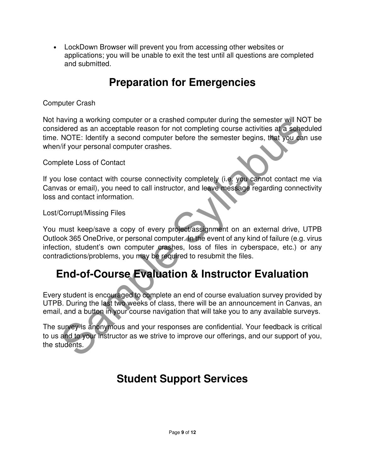• LockDown Browser will prevent you from accessing other websites or applications; you will be unable to exit the test until all questions are completed and submitted.

# **Preparation for Emergencies**

#### Computer Crash

Not having a working computer or a crashed computer during the semester will NOT be considered as an acceptable reason for not completing course activities at a scheduled time. NOTE: Identify a second computer before the semester begins, that you can use when/if your personal computer crashes.

#### Complete Loss of Contact

If you lose contact with course connectivity completely (i.e. you cannot contact me via Canvas or email), you need to call instructor, and leave message regarding connectivity loss and contact information.

#### Lost/Corrupt/Missing Files

abung a working computer or a crashed computer during the semester will not<br>dered as an acceptable reason for not completing course activities at a sehedured or<br>NOTE: Identify a second computer before the semester begins, You must keep/save a copy of every project/assignment on an external drive, UTPB Outlook 365 OneDrive, or personal computer. In the event of any kind of failure (e.g. virus infection, student's own computer crashes, loss of files in cyberspace, etc.) or any contradictions/problems, you may be required to resubmit the files.

### **End-of-Course Evaluation & Instructor Evaluation**

Every student is encouraged to complete an end of course evaluation survey provided by UTPB. During the last two weeks of class, there will be an announcement in Canvas, an email, and a button in your course navigation that will take you to any available surveys.

The survey is anonymous and your responses are confidential. Your feedback is critical to us and to your instructor as we strive to improve our offerings, and our support of you, the students.

### **Student Support Services**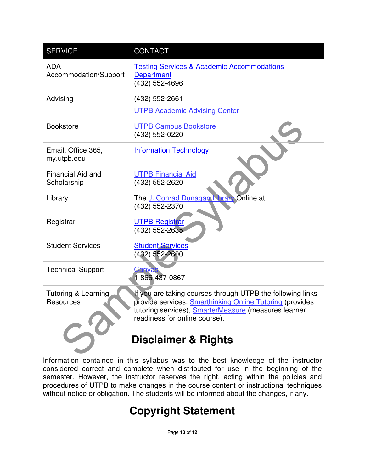| <b>SERVICE</b>                          | CONTACT                                                                                                                                                                                                                |  |  |
|-----------------------------------------|------------------------------------------------------------------------------------------------------------------------------------------------------------------------------------------------------------------------|--|--|
| <b>ADA</b><br>Accommodation/Support     | <b>Testing Services &amp; Academic Accommodations</b><br><b>Department</b><br>(432) 552-4696                                                                                                                           |  |  |
| Advising                                | (432) 552-2661<br><b>UTPB Academic Advising Center</b>                                                                                                                                                                 |  |  |
| <b>Bookstore</b>                        | <b>UTPB Campus Bookstore</b><br>(432) 552-0220                                                                                                                                                                         |  |  |
| Email, Office 365,<br>my.utpb.edu       | <b>Information Technology</b>                                                                                                                                                                                          |  |  |
| <b>Financial Aid and</b><br>Scholarship | <b>UTPB Financial Aid</b><br>(432) 552-2620                                                                                                                                                                            |  |  |
| Library                                 | The J. Conrad Dunagan Library Online at<br>(432) 552-2370                                                                                                                                                              |  |  |
| Registrar                               | <b>UTPB Registrar</b><br>(432) 552-2635                                                                                                                                                                                |  |  |
| <b>Student Services</b>                 | <b>Student Services</b><br>(432) 552-2600                                                                                                                                                                              |  |  |
| <b>Technical Support</b>                | Canva:<br>$-866 - 437 - 0867$                                                                                                                                                                                          |  |  |
| Tutoring & Learning<br><b>Resources</b> | If you are taking courses through UTPB the following links<br>provide services: <b>Smarthinking Online Tutoring</b> (provides<br>tutoring services), SmarterMeasure (measures learner<br>readiness for online course). |  |  |
| <b>Disclaimer &amp; Rights</b>          |                                                                                                                                                                                                                        |  |  |

Information contained in this syllabus was to the best knowledge of the instructor considered correct and complete when distributed for use in the beginning of the semester. However, the instructor reserves the right, acting within the policies and procedures of UTPB to make changes in the course content or instructional techniques without notice or obligation. The students will be informed about the changes, if any.

# **Copyright Statement**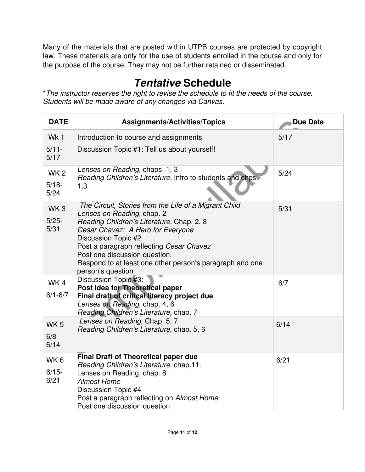Many of the materials that are posted within UTPB courses are protected by copyright law. These materials are only for the use of students enrolled in the course and only for the purpose of the course. They may not be further retained or disseminated.

# **Tentative Schedule**

\*The instructor reserves the right to revise the schedule to fit the needs of the course. Students will be made aware of any changes via Canvas.

| <b>DATE</b>                           | <b>Assignments/Activities/Topics</b>                                                                                                                                                                                                                                                                                                                       | <b>Due Date</b> |
|---------------------------------------|------------------------------------------------------------------------------------------------------------------------------------------------------------------------------------------------------------------------------------------------------------------------------------------------------------------------------------------------------------|-----------------|
| Wk1                                   | Introduction to course and assignments                                                                                                                                                                                                                                                                                                                     | 5/17            |
| $5/11 -$<br>5/17                      | Discussion Topic #1: Tell us about yourself!                                                                                                                                                                                                                                                                                                               |                 |
| WK <sub>2</sub><br>$5/18 -$<br>$5/24$ | Lenses on Reading, chaps. 1, 3<br>Reading Children's Literature, Intro to students and chps.<br>1,3                                                                                                                                                                                                                                                        | 5/24            |
| WK <sub>3</sub><br>$5/25 -$<br>5/31   | The Circuit, Stories from the Life of a Migrant Child<br>Lenses on Reading, chap. 2<br>Reading Children's Literature, Chap. 2, 8<br>Cesar Chavez: A Hero for Everyone<br>Discussion Topic #2<br>Post a paragraph reflecting Cesar Chavez<br>Post one discussion question.<br>Respond to at least one other person's paragraph and one<br>person's question | 5/31            |
| WK4<br>$6/1 - 6/7$                    | Discussion Topic #3:<br>Post idea for Theoretical paper<br>Final draft of critical literacy project due<br>Lenses on Reading, chap. 4, 6<br>Reading Children's Literature, chap. 7                                                                                                                                                                         | 6/7             |
| WK <sub>5</sub><br>$6/8 -$<br>6/14    | Lenses on Reading, Chap. 5, 7<br>Reading Children's Literature, chap. 5, 6                                                                                                                                                                                                                                                                                 | 6/14            |
| WK <sub>6</sub><br>$6/15 -$<br>6/21   | <b>Final Draft of Theoretical paper due</b><br>Reading Children's Literature, chap.11.<br>Lenses on Reading, chap. 8<br><b>Almost Home</b><br>Discussion Topic #4<br>Post a paragraph reflecting on Almost Home<br>Post one discussion question                                                                                                            | 6/21            |